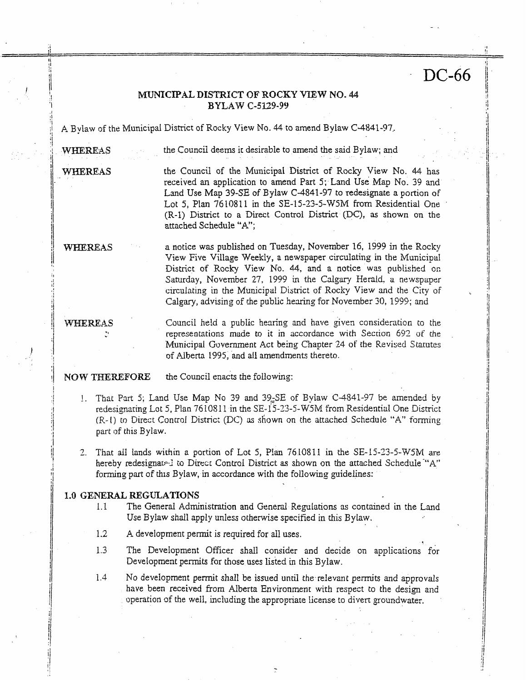# **<sup>I</sup>**- DC-66

### **MUNICIPAL DISTRICT OF ROCKY VIEW NO. 44** 'I **I BYLAW C-5U9-99**

:f **A,** Bylaw of the Municipal District of Rocky View No. 44 **to** amend Bylaw C-4841-97,

**i** 

i j **I** 

1

/1-

i

j/ jj

11

li

 $\cdot$ 

**\*I** I iI

,I

**'i**   $\frac{1}{1}$ 

 $\cdot$ 

: **WrnREb\*S** the Council deems it desirable to amend **the** said Bylaw; and

**WHEREAS** the Council of the Municipal District **of** Rocky View No. 44 has received **an** application to amend Part *5;* Land **Use** Map No. 39 and Land Use Map 39-SE of Bylaw C-4841-97 to redesignate **a** portion of Lot *5,* Plan 7610811 in the SE-i5-23-5-W5M from Residential One (R-1) District to a Direct Control District (DC), as shown on the attached Schedule **"A";** 

**a** notice was published on Tuesday, November 16, 1999 in the Rocky View Five Village Weekly, a newspaper circulating in the Municipal District of Rocky View No. 44, and a notice was published on Saturday, November 27, 1999 in the Calgary Herald, a newspaper Calgary, advising of the public hearing for November 30, 1999; and  $WHEREAS$ circulating in the Municipal District of Rocky View and the City of

WHEREAS

Council held a public hearing and have given consideration to the Municipal Government **Act** being Chapter 24 **of** the Revised Statutes of Alberta 1995, **and all** amendmeats thereto. representations made to it in accordance with Section 692 of the

the Council enacts the folowing: **NOW THEREFORE** 

- !. That Pan *5;* Land Use Map No *39* and 39,SE of Bylaw C-4841-97 be amended by redesignating Lot 5, Plan 761081 1 in *the* SE-iS-33-S-'W5M from Residential One District **(I?.-[)** to Direct Concrof District (DC) **as** shown on the attached Schedule **"A"** forming part of this Bylaw.
- il *3.* That **ail** lands within a portion of Lot 5, **Plan** *76* IO81 t in *the* SE-15-33-5-W5M are forming part of this Bylaw, in accordance with the following guidelines: **I**hereby redesignared to Direct Control District as shown on the attached Schedule <sup>"A"</sup>

### **1.0 GENERAL REGULATIONS**

- 1.1 The Genersll Administration and General Regulations **as** contained in the Land Use Bylaw shall **apply** unless otherwise specified in this Bylaw.
- 1.2 A development permit is required for all uses.
- 1.3 The Development Officer shall consider and decide on applications for Development **permits** for those uses listed in this Bylaw.

1.4 No development permit shall be issued until the-relevant **permits** *md* approvals have been received from Alberta Environment with respect to the design and operation of the well, including the appropriate license to divert groundwater.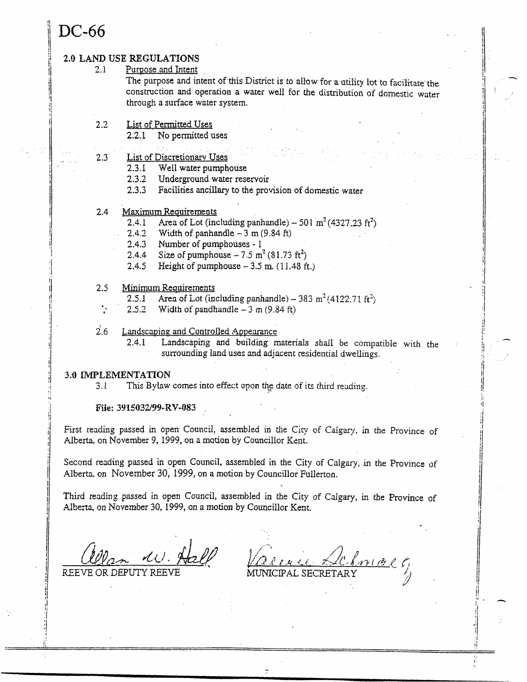## DC-66

2.1

### **2.0 LAND USE REGULATIONS**

Purpose and Intent

The purpose and intent of this District is to allow for a utility lot to facilitate the constmction and operation **a water** well for the distribution of domestic water through a **surface** water **system.** 

- 2 *-2*  **List** of-Permitted **Uses** 
	- **2.2.1** No permitted **uses**
- \_- . . *2.3*  List of Discretionary **Uses** 
	- 2.3.1 Well **water pumphouse**
	- 2.3.2 Underground water reservoir
	- *2.33* Facilities ancillary to the provision **of** domestic **water**
- 2.4 **Maximum Requirements** 
	- 2.4.1 Area of Lot (including panhandle)  $-501 \text{ m}^2 (4327.23 \text{ ft}^2)$
	- 2.4.2 Width of panhandle  $-3$  m (9.84 ft)
	- 3.4.3 Number of pumphouses 1
	- 2.4.4 Size of pumphouse  $-7.5 \text{ m}^2 (81.73 \text{ ft}^2)$
	- 2.4.5 Height of pumphouse  $-3.5$  m.  $(11.48$  ft.)
- 2.5 Minimum Reanirements
	- $\frac{1}{2.5.1}$  Area of Lot (including panhandle) 383 m<sup>2</sup> (4122.71 ft<sup>2</sup>)
	- 2.5.2 Width of pandhandle  $-3$  m (9.84 ft)
- *i.6*  Landscaping and Controlled Appearance
	- 2.41 Landscaping and **building** materials shall be compatible with the surrounding land *uses* and adjacent residential dwellings.

### *3.0* **IMfLEMENT47CIOM**

*I* 

3.1 This Bylaw comes into effect upon the date of its third reading.

**File: 3Y'ISO32/99-RV-O83** .

First reading passed in open Council, assembled in the City of Calgary, in the Province of Alberta, on November 9, 1999, on a motion by Councillor Kent.

Second reading passed **in** open Council, assembled in the City of Calgary, **in** the Province of Alberta, on November 30, 1999, on a motion by Councillor Fullerton.

Third reading **passed** in open Council, assembled in *the* City of Calgary, in the Province of Alberta, on November 30, 1999, on a motion by Councillor Kent.

REEVE OR DEPUT

MUNICIPAL SECRETARY